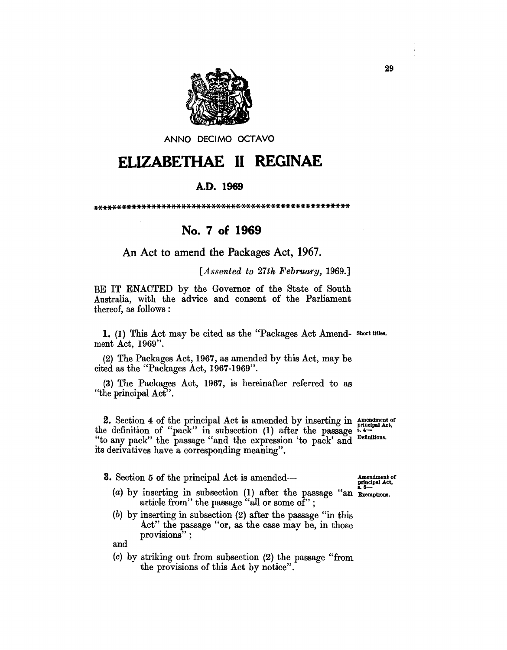

ANNO DECIMO OCTAVO

## **ELIZABETHAE 11 REGINAE**

## A.D. **1969**

\*\*\*\*\*\*\*\*\*\*\*\*\*\*\*\*\*\*\*\*\*\*\*\*\*\*\*\*\*\*\*\*\*\*\*\*\*\*\*\*\*\*\*\*\*\*\*\*\*\*\*\*

## **No. 7 of 1969**

An Act to amend the Packages Act, 1967.

*[Assented to 27th February, 1969.]* 

BE IT ENACTED by the Governor of the State of South Australia, with the advice and consent of the Parliament thereof, as follows:

1. (1) This Act may be cited as the "Packages Act Amend- Short titles. ment Act, 1969".

(2) The Packages Act, 1967, as amended by this Act, may be cited as the "Packages Act, 1967-1969".

(3) The Packages Act, 1967, is hereinafter referred to as "the principal Act".

2. Section 4 of the principal Act is amended by inserting in  $\frac{A}_{\text{normal and Act}}$ the definition of "pack" in subsection  $(1)$  after the passage  $\frac{1}{2}$ . "to any pack" the passage "and the expression 'to pack' and Definitions. its derivatives have a corresponding meaning".

3. Section 5 of the principal Act is amended— Amendment of

- (a) by inserting in subsection  $(1)$  after the passage "an Exemptions. article from" the passage "all or some of";
- (b) by inserting in subsection (2) after the passage "in this Act" the passage "or, as the case may be, in those provisions";

and

(0) by striking out from subsection (2) the passage "from the provisions of this Act by notice".

principal Act.

29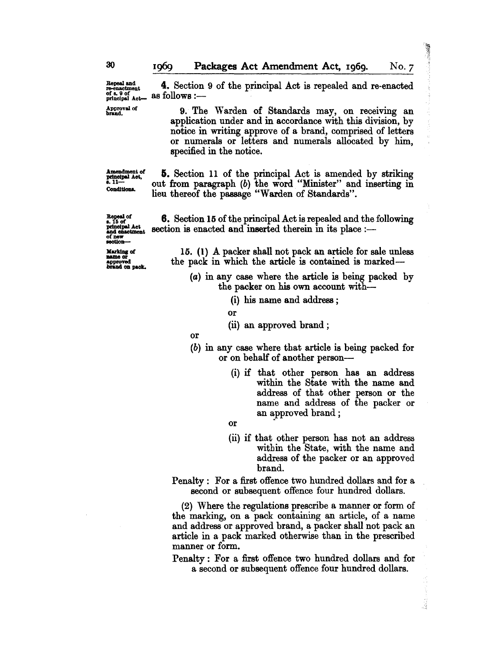$x_{\text{one}}^{\text{Repeat and}}$  4. Section 9 of the principal Act is repealed and re-enacted of a.g. of the principal Act is repealed and re-enacted principal Act. as follows :-

Approval of 9. The Warden of Standards may, on receiving an application under and in accordance with this division, by notice in writing approve of a brand, comprised of letters or numerals or letters and numerals allocated by him, specified in the notice.

Amendment of<br>principal Act,<br>5. 11---Conditions.

**5.** Section 11 of the principal Act is amended by striking out from paragraph (b) the word "Minister" and inserting in lieu thereof the passage "Warden of Standards".

Repeal of<br> **s.** 15 of<br>
principal Act<br>
and chaotment<br>
of new<br> **Marking** of<br> **Marking** of

approved<br>brand on pack.

15. (I) A packer shall not pack an article for sale unless the pack in which the article is contained is marked-

6. Section 15 of the principal Act is repealed and the following

section is enacted and inserted therein in its place :-

(a) in any case where the article is being packed by the packer on his own account with-

(i) his name and address ;

or

(ii) an approved brand;

or

(b) in any case where that article is being packed for or on behalf of another person-

- (i) if that other person has an address within the State with the name and address of that other person or the name and address of the packer or an approved brand;
- or
- (ii) if that other person has not an address within the State, with the name and address of the packer or an approved brand.

Í

Penalty: For a first offence two hundred dollars and for a second or subsequent offence four hundred dollars.

(2) Where the regulations prescribe a manner or form of the marking, on a pack containing an article, of a name and address or approved brand, a packer shall not pack an article in a pack marked otherwise than in the prescribed manner or form.

Penalty: For a first offence two hundred dollars and for a second or subsequent offence four hundred dollars.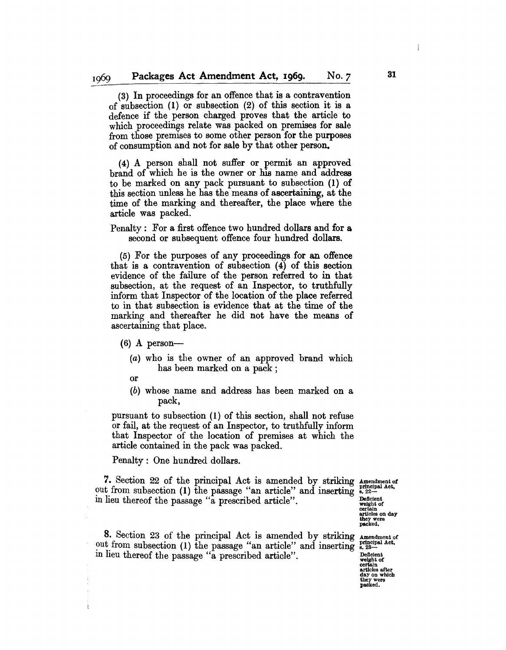(3) In proceedings for an offence that is a contravention of subsection (1) or subsection (2) of this section it is a defence if the person charged proves that the article to which proceedings relate was packed on premises for sale from those premises to some other person for the purposes of consumption and not for sale by that other person.

(4) A person shall not suffer or permit an approved brand of which he is the owner or his name and address to be marked on any pack pursuant to subsection (1) of this section unless he has the means of ascertaining, at the time of the marking and thereafter, the place where the article was packed.

Penalty: For a first offence two hundred dollars and for a second or subsequent offence four hundred dollars.

(5) For the purposes of any proceedings for an offence that is a contravention of subsection (4) of this section evidence of the failure of the person referred to in that subsection, at the request of an Inspector, to truthfully inform that Inspector of the location of the place referred to in that subsection is evidence that at the time of the marking and thereafter he did not have the means of ascertaining that place.

- $(6)$  A person-
	- (a) who is the owner of an approved brand which has been marked on a pack;
	- or

 $\mathfrak{k}$ 

(b) whose name and address has been marked on a pack,

pursuant to subsection (1) of this section, shall not refuse or fail, at the request of an Inspector, to truthfully inform that Inspector of the location of premises at which the article contained in the pack was packed.

Penalty: One hundred dollars.

7. Section 22 of the principal Act is amended by striking Amendment of Penalty : One hundred dollars.<br>
7. Section 22 of the principal Act is amended by striking Amendmentor<br>
out from subsection (1) the passage "an article" and inserting  $\sum_{n=20}^{\infty}$ <br>
in liou thereof the negative "a magnet in lieu thereof the passage "a prescribed article".  $\mathbb{R}^{\text{Beficient}}$ 

certain<br>articles on day articles on day they were packed.

8. Section 23 of the principal Act is amended by striking Amendment of out from subsection (1) the passage "an article" and inserting  $_{12}^{principle}$ In heu thereof the passage "a prescribed article".

certain articles after day on which they were

31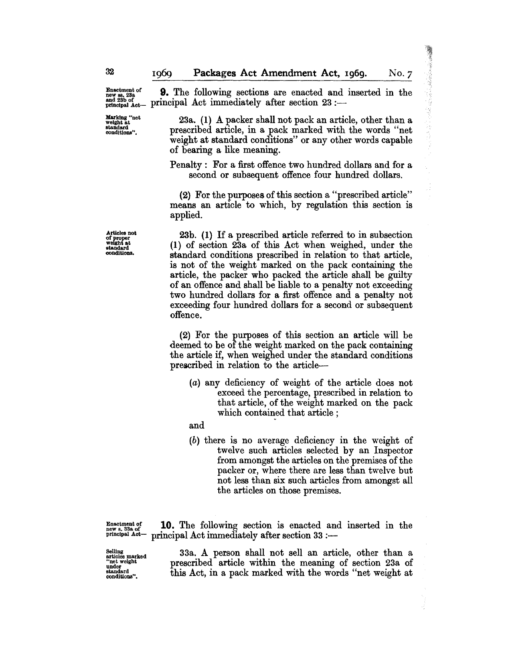(優秀な) なんばつ

Marking "net weight at standard conditions".

Enactment of **9.** The following sections are enacted and inserted in the new section of the same of the section of the section of  $\frac{92}{100}$ . and 23b of principal  $Act$  immediately after section  $23$  :-

> 23a. (1) A packer shall not pack an article, other than a prescribed article, in a pack marked with the words "net weight at standard conditions" or any other words capable of bearing a like meaning.

> Penalty: For a first offence two hundred dollars and for a second or subsequent offence four hundred dollars.

> (2) For the purposes of this section a "prescribed article" means an article to which, by regulation this section is applied.

> 23b. (I) If a prescribed article referred to in subsection (1) of section 23a of this Act when weighed, under the standard conditions prescribed in relation to that article, is not of the weight marked on the pack containing the article, the packer who packed the article shall be guilty of an offence and shall be liable to a penalty not exceeding two hundred dollars for a first offence and a penalty not exceeding four hundred dollars for a second or subsequent offence.

> (2) For the purposes of this section an article will be deemed to be of the weight marked on the pack containing the article if, when weighed under the standard conditions prescribed in relation to the article-

(a) any deficiency of weight of the article does not exceed the percentage, prescribed in relation to that article, of the weight marked on the pack which contained that article;

and

(b) there is no average deficiency in the weight of twelve such articles selected by an Inspector from amongst the articles on the premises of the packer or, where there are less than twelve but not less than six such articles from amongst all the articles on those premises.

Enactment of **10.** The following section is enacted and inserted in the news, 33.  $p$ rincipal Act immediately after section 33 :-

Selling articles marked "net weight under standard conditions".

33a. A person shall not sell an article, other than a prescribed article within the meaning of section 23a of this Act, in a pack marked with the words "net weight at

Articles not of proper weight at standard oondltlons.